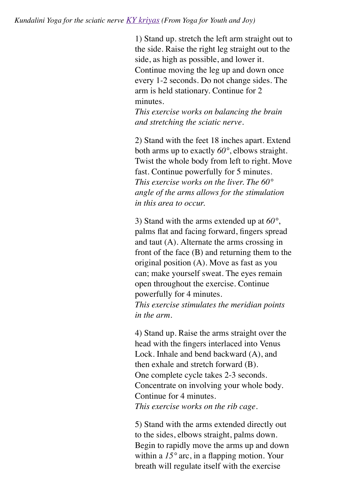1) Stand up. stretch the left arm straight out to the side. Raise the right leg straight out to the side, as high as possible, and lower it. Continue moving the leg up and down once every 1-2 seconds. Do not change sides. The arm is held stationary. Continue for 2 minutes.

*This exercise works on balancing the brain and stretching the sciatic nerve.*

2) Stand with the feet 18 inches apart. Extend both arms up to exactly *60°*, elbows straight. Twist the whole body from left to right. Move fast. Continue powerfully for 5 minutes. *This exercise works on the liver. The 60° angle of the arms allows for the stimulation in this area to occur.*

3) Stand with the arms extended up at *60°*, palms flat and facing forward, fingers spread and taut (A). Alternate the arms crossing in front of the face (B) and returning them to the original position (A). Move as fast as you can; make yourself sweat. The eyes remain open throughout the exercise. Continue powerfully for 4 minutes. *This exercise stimulates the meridian points*

*in the arm.*

4) Stand up. Raise the arms straight over the head with the fingers interlaced into Venus Lock. Inhale and bend backward (A), and then exhale and stretch forward (B). One complete cycle takes 2-3 seconds. Concentrate on involving your whole body. Continue for 4 minutes. *This exercise works on the rib cage.*

5) Stand with the arms extended directly out to the sides, elbows straight, palms down. Begin to rapidly move the arms up and down within a *15°* arc, in a flapping motion. Your breath will regulate itself with the exercise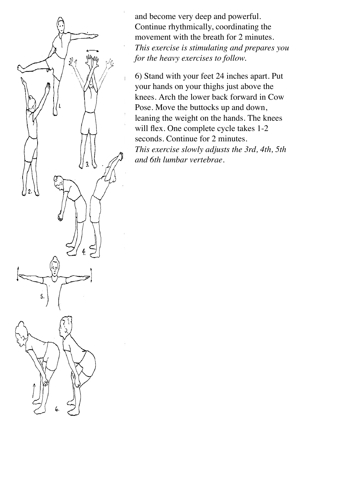

and become very deep and powerful. Continue rhythmically, coordinating the movement with the breath for 2 minutes. *This exercise is stimulating and prepares you for the heavy exercises to follow.*

6) Stand with your feet 24 inches apart. Put your hands on your thighs just above the knees. Arch the lower back forward in Cow Pose. Move the buttocks up and down, leaning the weight on the hands. The knees will flex. One complete cycle takes 1-2 seconds. Continue for 2 minutes. *This exercise slowly adjusts the 3rd, 4th, 5th and 6th lumbar vertebrae.*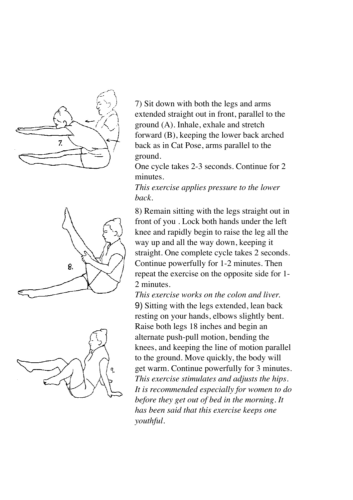





7) Sit down with both the legs and arms extended straight out in front, parallel to the ground (A). Inhale, exhale and stretch forward (B), keeping the lower back arched back as in Cat Pose, arms parallel to the ground.

One cycle takes 2-3 seconds. Continue for 2 minutes.

*This exercise applies pressure to the lower back.*

8) Remain sitting with the legs straight out in front of you . Lock both hands under the left knee and rapidly begin to raise the leg all the way up and all the way down, keeping it straight. One complete cycle takes 2 seconds. Continue powerfully for 1-2 minutes. Then repeat the exercise on the opposite side for 1- 2 minutes.

*This exercise works on the colon and liver.* 9) Sitting with the legs extended, lean back resting on your hands, elbows slightly bent. Raise both legs 18 inches and begin an alternate push-pull motion, bending the knees, and keeping the line of motion parallel to the ground. Move quickly, the body will get warm. Continue powerfully for 3 minutes. *This exercise stimulates and adjusts the hips. It is recommended especially for women to do before they get out of bed in the morning. It has been said that this exercise keeps one youthful.*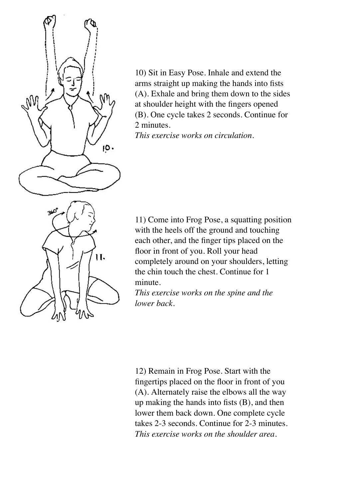

10) Sit in Easy Pose. Inhale and extend the arms straight up making the hands into fists (A). Exhale and bring them down to the sides at shoulder height with the fingers opened (B). One cycle takes 2 seconds. Continue for 2 minutes.

*This exercise works on circulation.*

11) Come into Frog Pose, a squatting position with the heels off the ground and touching each other, and the finger tips placed on the floor in front of you. Roll your head completely around on your shoulders, letting the chin touch the chest. Continue for 1 minute.

*This exercise works on the spine and the lower back.*

12) Remain in Frog Pose. Start with the fingertips placed on the floor in front of you (A). Alternately raise the elbows all the way up making the hands into fists (B), and then lower them back down. One complete cycle takes 2-3 seconds. Continue for 2-3 minutes. *This exercise works on the shoulder area.*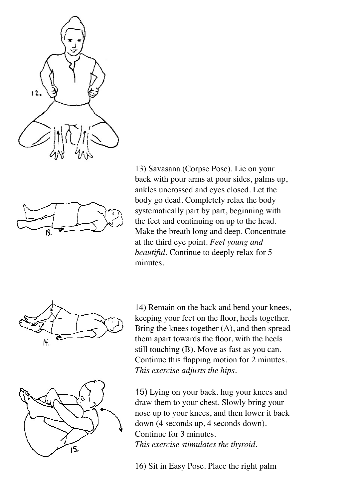



13) Savasana (Corpse Pose). Lie on your back with pour arms at pour sides, palms up, ankles uncrossed and eyes closed. Let the body go dead. Completely relax the body systematically part by part, beginning with the feet and continuing on up to the head. Make the breath long and deep. Concentrate at the third eye point. *Feel young and beautiful.* Continue to deeply relax for 5 minutes.



14) Remain on the back and bend your knees, keeping your feet on the floor, heels together. Bring the knees together  $(A)$ , and then spread them apart towards the floor, with the heels still touching (B). Move as fast as you can. Continue this flapping motion for 2 minutes. *This exercise adjusts the hips.*



15) Lying on your back. hug your knees and draw them to your chest. Slowly bring your nose up to your knees, and then lower it back down (4 seconds up, 4 seconds down). Continue for 3 minutes. *This exercise stimulates the thyroid.*

16) Sit in Easy Pose. Place the right palm